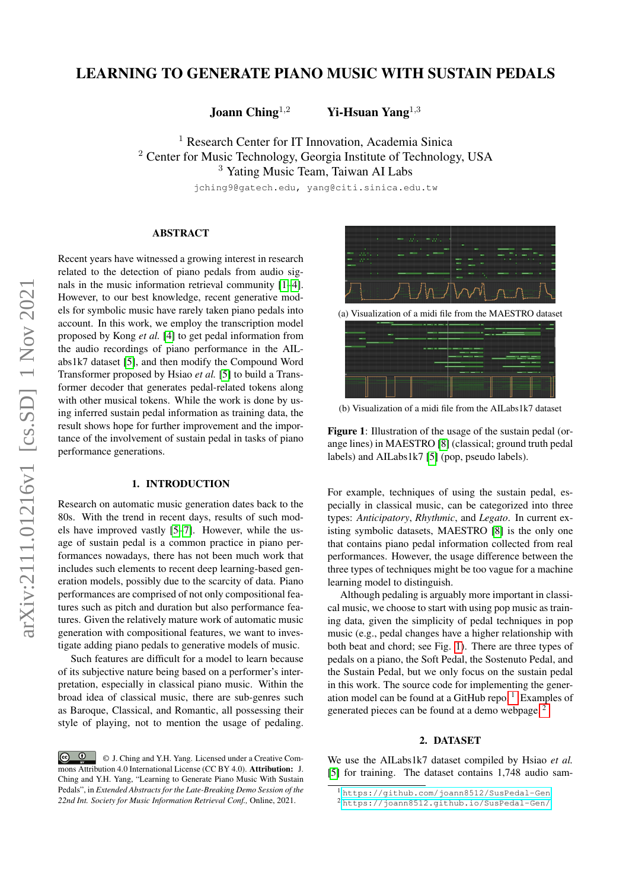# LEARNING TO GENERATE PIANO MUSIC WITH SUSTAIN PEDALS

Joann Ching<sup>1,2</sup> Yi-Hsuan Yang<sup>1,3</sup>

<sup>1</sup> Research Center for IT Innovation, Academia Sinica <sup>2</sup> Center for Music Technology, Georgia Institute of Technology, USA <sup>3</sup> Yating Music Team, Taiwan AI Labs

jching9@gatech.edu, yang@citi.sinica.edu.tw

## ABSTRACT

Recent years have witnessed a growing interest in research related to the detection of piano pedals from audio signals in the music information retrieval community [\[1–](#page-1-0)[4\]](#page-1-1). However, to our best knowledge, recent generative models for symbolic music have rarely taken piano pedals into account. In this work, we employ the transcription model proposed by Kong *et al.* [\[4\]](#page-1-1) to get pedal information from the audio recordings of piano performance in the AILabs1k7 dataset [\[5\]](#page-1-2), and then modify the Compound Word Transformer proposed by Hsiao *et al.* [\[5\]](#page-1-2) to build a Transformer decoder that generates pedal-related tokens along with other musical tokens. While the work is done by using inferred sustain pedal information as training data, the result shows hope for further improvement and the importance of the involvement of sustain pedal in tasks of piano performance generations.

#### 1. INTRODUCTION

Research on automatic music generation dates back to the 80s. With the trend in recent days, results of such models have improved vastly [\[5](#page-1-2)[–7\]](#page-1-3). However, while the usage of sustain pedal is a common practice in piano performances nowadays, there has not been much work that includes such elements to recent deep learning-based generation models, possibly due to the scarcity of data. Piano performances are comprised of not only compositional features such as pitch and duration but also performance features. Given the relatively mature work of automatic music generation with compositional features, we want to investigate adding piano pedals to generative models of music.

Such features are difficult for a model to learn because of its subjective nature being based on a performer's interpretation, especially in classical piano music. Within the broad idea of classical music, there are sub-genres such as Baroque, Classical, and Romantic, all possessing their style of playing, not to mention the usage of pedaling.

<span id="page-0-0"></span>

(a) Visualization of a midi file from the MAESTRO dataset



(b) Visualization of a midi file from the AILabs1k7 dataset

Figure 1: Illustration of the usage of the sustain pedal (orange lines) in MAESTRO [\[8\]](#page-1-4) (classical; ground truth pedal labels) and AILabs1k7 [\[5\]](#page-1-2) (pop, pseudo labels).

For example, techniques of using the sustain pedal, especially in classical music, can be categorized into three types: *Anticipatory*, *Rhythmic*, and *Legato*. In current existing symbolic datasets, MAESTRO [\[8\]](#page-1-4) is the only one that contains piano pedal information collected from real performances. However, the usage difference between the three types of techniques might be too vague for a machine learning model to distinguish.

Although pedaling is arguably more important in classical music, we choose to start with using pop music as training data, given the simplicity of pedal techniques in pop music (e.g., pedal changes have a higher relationship with both beat and chord; see Fig. [1\)](#page-0-0). There are three types of pedals on a piano, the Soft Pedal, the Sostenuto Pedal, and the Sustain Pedal, but we only focus on the sustain pedal in this work. The source code for implementing the gener-ation model can be found at a GitHub repo.<sup>[1](#page-0-1)</sup> Examples of generated pieces can be found at a demo webpage. [2](#page-0-2)

## 2. DATASET

We use the AILabs1k7 dataset compiled by Hsiao *et al.* [\[5\]](#page-1-2) for training. The dataset contains 1,748 audio sam-

 $\boxed{6}$   $\boxed{0}$ © J. Ching and Y.H. Yang. Licensed under a Creative Commons Attribution 4.0 International License (CC BY 4.0). Attribution: J. Ching and Y.H. Yang, "Learning to Generate Piano Music With Sustain Pedals", in *Extended Abstracts for the Late-Breaking Demo Session of the 22nd Int. Society for Music Information Retrieval Conf.,* Online, 2021.

<span id="page-0-1"></span><sup>1</sup> <https://github.com/joann8512/SusPedal-Gen>

<span id="page-0-2"></span><sup>2</sup> <https://joann8512.github.io/SusPedal-Gen/>